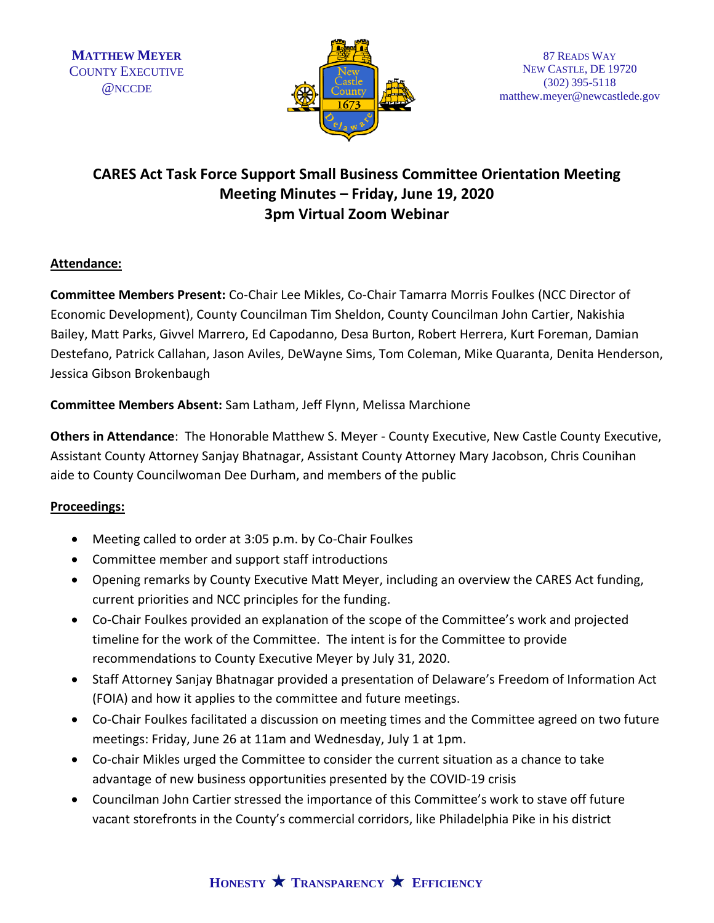

# **CARES Act Task Force Support Small Business Committee Orientation Meeting Meeting Minutes – Friday, June 19, 2020 3pm Virtual Zoom Webinar**

#### **Attendance:**

**Committee Members Present:** Co-Chair Lee Mikles, Co-Chair Tamarra Morris Foulkes (NCC Director of Economic Development), County Councilman Tim Sheldon, County Councilman John Cartier, Nakishia Bailey, Matt Parks, Givvel Marrero, Ed Capodanno, Desa Burton, Robert Herrera, Kurt Foreman, Damian Destefano, Patrick Callahan, Jason Aviles, DeWayne Sims, Tom Coleman, Mike Quaranta, Denita Henderson, Jessica Gibson Brokenbaugh

**Committee Members Absent:** Sam Latham, Jeff Flynn, Melissa Marchione

**Others in Attendance**: The Honorable Matthew S. Meyer - County Executive, New Castle County Executive, Assistant County Attorney Sanjay Bhatnagar, Assistant County Attorney Mary Jacobson, Chris Counihan aide to County Councilwoman Dee Durham, and members of the public

#### **Proceedings:**

- Meeting called to order at 3:05 p.m. by Co-Chair Foulkes
- Committee member and support staff introductions
- Opening remarks by County Executive Matt Meyer, including an overview the CARES Act funding, current priorities and NCC principles for the funding.
- Co-Chair Foulkes provided an explanation of the scope of the Committee's work and projected timeline for the work of the Committee. The intent is for the Committee to provide recommendations to County Executive Meyer by July 31, 2020.
- Staff Attorney Sanjay Bhatnagar provided a presentation of Delaware's Freedom of Information Act (FOIA) and how it applies to the committee and future meetings.
- Co-Chair Foulkes facilitated a discussion on meeting times and the Committee agreed on two future meetings: Friday, June 26 at 11am and Wednesday, July 1 at 1pm.
- Co-chair Mikles urged the Committee to consider the current situation as a chance to take advantage of new business opportunities presented by the COVID-19 crisis
- Councilman John Cartier stressed the importance of this Committee's work to stave off future vacant storefronts in the County's commercial corridors, like Philadelphia Pike in his district